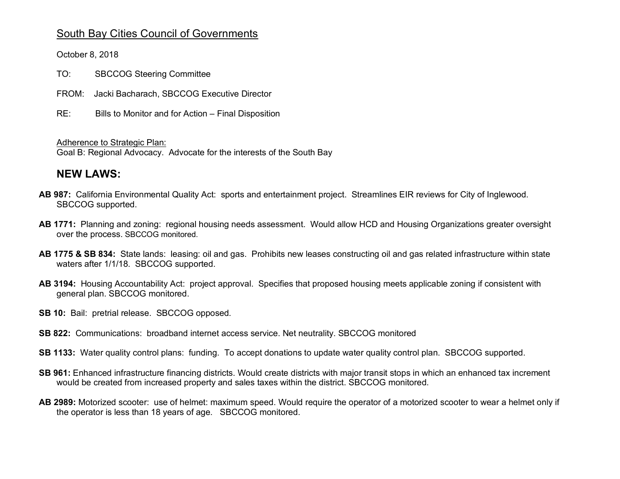## South Bay Cities Council of Governments

October 8, 2018

TO: SBCCOG Steering Committee

FROM: Jacki Bacharach, SBCCOG Executive Director

RE: Bills to Monitor and for Action – Final Disposition

Adherence to Strategic Plan:

Goal B: Regional Advocacy. Advocate for the interests of the South Bay

## **NEW LAWS:**

- **AB 987:** California Environmental Quality Act: sports and entertainment project. Streamlines EIR reviews for City of Inglewood. SBCCOG supported.
- **AB 1771:** Planning and zoning: regional housing needs assessment. Would allow HCD and Housing Organizations greater oversight over the process. SBCCOG monitored.
- **AB 1775 & SB 834:** State lands: leasing: oil and gas. Prohibits new leases constructing oil and gas related infrastructure within state waters after 1/1/18. SBCCOG supported.
- **AB 3194:** Housing Accountability Act: project approval. Specifies that proposed housing meets applicable zoning if consistent with general plan. SBCCOG monitored.
- **SB 10: Bail: pretrial release. SBCCOG opposed.**
- **SB 822:** Communications: broadband internet access service. Net neutrality. SBCCOG monitored
- **SB 1133:** Water quality control plans: funding. To accept donations to update water quality control plan. SBCCOG supported.
- **SB 961:** Enhanced infrastructure financing districts. Would create districts with major transit stops in which an enhanced tax increment would be created from increased property and sales taxes within the district. SBCCOG monitored.
- **AB 2989:** Motorized scooter:use of helmet: maximum speed. Would require the operator of a motorized scooter to wear a helmet only if the operator is less than 18 years of age. SBCCOG monitored.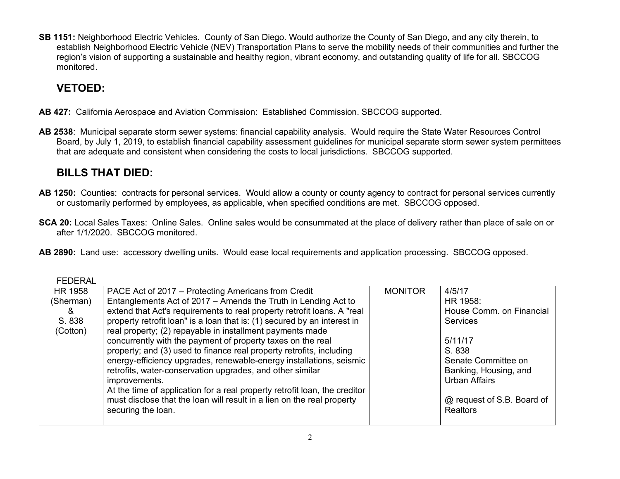**SB 1151:** Neighborhood Electric Vehicles. County of San Diego. Would authorize the County of San Diego, and any city therein, to establish Neighborhood Electric Vehicle (NEV) Transportation Plans to serve the mobility needs of their communities and further the region's vision of supporting a sustainable and healthy region, vibrant economy, and outstanding quality of life for all. SBCCOG monitored.

## **VETOED:**

- **AB 427:** California Aerospace and Aviation Commission: Established Commission. SBCCOG supported.
- **AB 2538**: Municipal separate storm sewer systems: financial capability analysis. Would require the State Water Resources Control Board, by July 1, 2019, to establish financial capability assessment guidelines for municipal separate storm sewer system permittees that are adequate and consistent when considering the costs to local jurisdictions. SBCCOG supported.

## **BILLS THAT DIED:**

- **AB 1250:** Counties: contracts for personal services. Would allow a county or county agency to contract for personal services currently or customarily performed by employees, as applicable, when specified conditions are met. SBCCOG opposed.
- **SCA 20:** Local Sales Taxes: Online Sales. Online sales would be consummated at the place of delivery rather than place of sale on or after 1/1/2020. SBCCOG monitored.
- **AB 2890:** Land use: accessory dwelling units. Would ease local requirements and application processing. SBCCOG opposed.

| <b>FEDERAL</b> |                                                                            |                |                            |
|----------------|----------------------------------------------------------------------------|----------------|----------------------------|
| HR 1958        | PACE Act of 2017 – Protecting Americans from Credit                        | <b>MONITOR</b> | 4/5/17                     |
| (Sherman)      | Entanglements Act of 2017 - Amends the Truth in Lending Act to             |                | HR 1958:                   |
| &              | extend that Act's requirements to real property retrofit loans. A "real    |                | House Comm. on Financial   |
| S. 838         | property retrofit loan" is a loan that is: (1) secured by an interest in   |                | <b>Services</b>            |
| (Cotton)       | real property; (2) repayable in installment payments made                  |                |                            |
|                | concurrently with the payment of property taxes on the real                |                | 5/11/17                    |
|                | property; and (3) used to finance real property retrofits, including       |                | S. 838                     |
|                | energy-efficiency upgrades, renewable-energy installations, seismic        |                | Senate Committee on        |
|                | retrofits, water-conservation upgrades, and other similar                  |                | Banking, Housing, and      |
|                | improvements.                                                              |                | <b>Urban Affairs</b>       |
|                | At the time of application for a real property retrofit loan, the creditor |                |                            |
|                | must disclose that the loan will result in a lien on the real property     |                | @ request of S.B. Board of |
|                | securing the loan.                                                         |                | <b>Realtors</b>            |
|                |                                                                            |                |                            |